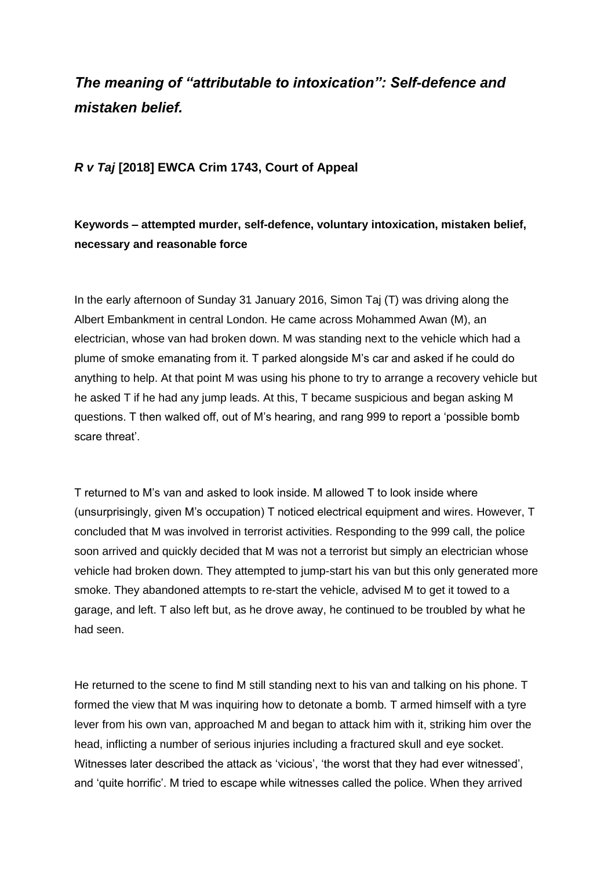# *The meaning of "attributable to intoxication": Self-defence and mistaken belief.*

### *R v Taj* **[2018] EWCA Crim 1743, Court of Appeal**

## **Keywords – attempted murder, self-defence, voluntary intoxication, mistaken belief, necessary and reasonable force**

In the early afternoon of Sunday 31 January 2016, Simon Taj (T) was driving along the Albert Embankment in central London. He came across Mohammed Awan (M), an electrician, whose van had broken down. M was standing next to the vehicle which had a plume of smoke emanating from it. T parked alongside M's car and asked if he could do anything to help. At that point M was using his phone to try to arrange a recovery vehicle but he asked T if he had any jump leads. At this, T became suspicious and began asking M questions. T then walked off, out of M's hearing, and rang 999 to report a 'possible bomb scare threat'.

T returned to M's van and asked to look inside. M allowed T to look inside where (unsurprisingly, given M's occupation) T noticed electrical equipment and wires. However, T concluded that M was involved in terrorist activities. Responding to the 999 call, the police soon arrived and quickly decided that M was not a terrorist but simply an electrician whose vehicle had broken down. They attempted to jump-start his van but this only generated more smoke. They abandoned attempts to re-start the vehicle, advised M to get it towed to a garage, and left. T also left but, as he drove away, he continued to be troubled by what he had seen.

He returned to the scene to find M still standing next to his van and talking on his phone. T formed the view that M was inquiring how to detonate a bomb. T armed himself with a tyre lever from his own van, approached M and began to attack him with it, striking him over the head, inflicting a number of serious injuries including a fractured skull and eye socket. Witnesses later described the attack as 'vicious', 'the worst that they had ever witnessed', and 'quite horrific'. M tried to escape while witnesses called the police. When they arrived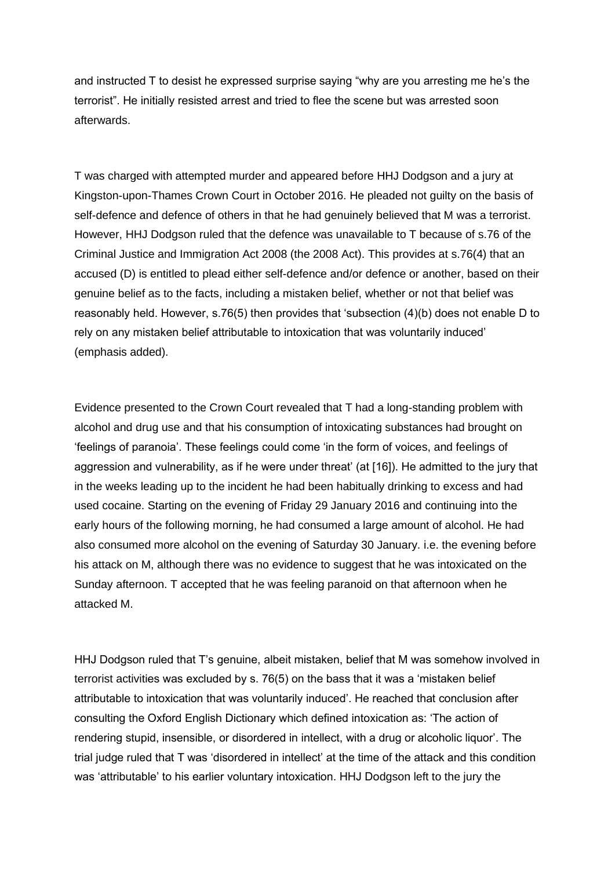and instructed T to desist he expressed surprise saying "why are you arresting me he's the terrorist". He initially resisted arrest and tried to flee the scene but was arrested soon afterwards.

T was charged with attempted murder and appeared before HHJ Dodgson and a jury at Kingston-upon-Thames Crown Court in October 2016. He pleaded not guilty on the basis of self-defence and defence of others in that he had genuinely believed that M was a terrorist. However, HHJ Dodgson ruled that the defence was unavailable to T because of s.76 of the Criminal Justice and Immigration Act 2008 (the 2008 Act). This provides at s.76(4) that an accused (D) is entitled to plead either self-defence and/or defence or another, based on their genuine belief as to the facts, including a mistaken belief, whether or not that belief was reasonably held. However, s.76(5) then provides that 'subsection (4)(b) does not enable D to rely on any mistaken belief attributable to intoxication that was voluntarily induced' (emphasis added).

Evidence presented to the Crown Court revealed that T had a long-standing problem with alcohol and drug use and that his consumption of intoxicating substances had brought on 'feelings of paranoia'. These feelings could come 'in the form of voices, and feelings of aggression and vulnerability, as if he were under threat' (at [16]). He admitted to the jury that in the weeks leading up to the incident he had been habitually drinking to excess and had used cocaine. Starting on the evening of Friday 29 January 2016 and continuing into the early hours of the following morning, he had consumed a large amount of alcohol. He had also consumed more alcohol on the evening of Saturday 30 January. i.e. the evening before his attack on M, although there was no evidence to suggest that he was intoxicated on the Sunday afternoon. T accepted that he was feeling paranoid on that afternoon when he attacked M.

HHJ Dodgson ruled that T's genuine, albeit mistaken, belief that M was somehow involved in terrorist activities was excluded by s. 76(5) on the bass that it was a 'mistaken belief attributable to intoxication that was voluntarily induced'. He reached that conclusion after consulting the Oxford English Dictionary which defined intoxication as: 'The action of rendering stupid, insensible, or disordered in intellect, with a drug or alcoholic liquor'. The trial judge ruled that T was 'disordered in intellect' at the time of the attack and this condition was 'attributable' to his earlier voluntary intoxication. HHJ Dodgson left to the jury the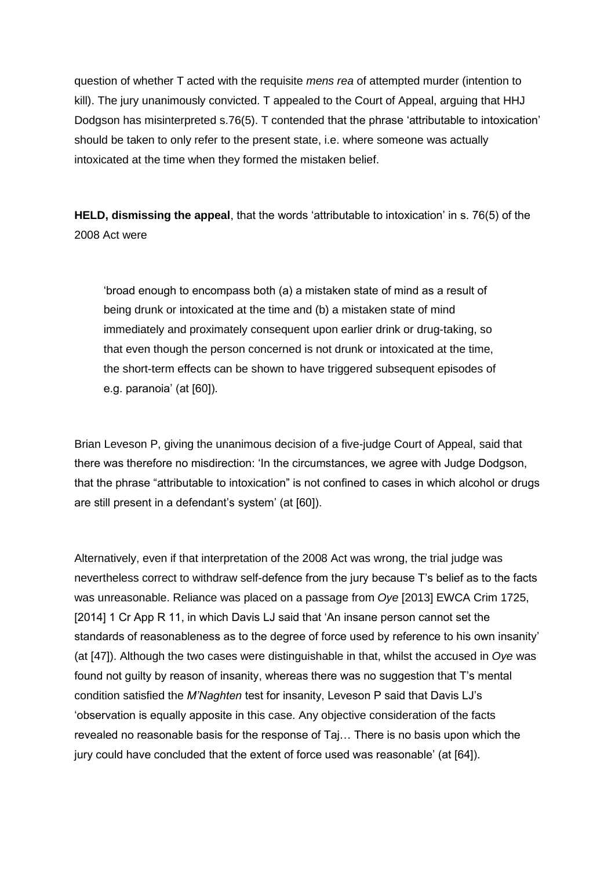question of whether T acted with the requisite *mens rea* of attempted murder (intention to kill). The jury unanimously convicted. T appealed to the Court of Appeal, arguing that HHJ Dodgson has misinterpreted s.76(5). T contended that the phrase 'attributable to intoxication' should be taken to only refer to the present state, i.e. where someone was actually intoxicated at the time when they formed the mistaken belief.

**HELD, dismissing the appeal**, that the words 'attributable to intoxication' in s. 76(5) of the 2008 Act were

'broad enough to encompass both (a) a mistaken state of mind as a result of being drunk or intoxicated at the time and (b) a mistaken state of mind immediately and proximately consequent upon earlier drink or drug-taking, so that even though the person concerned is not drunk or intoxicated at the time, the short-term effects can be shown to have triggered subsequent episodes of e.g. paranoia' (at [60]).

Brian Leveson P, giving the unanimous decision of a five-judge Court of Appeal, said that there was therefore no misdirection: 'In the circumstances, we agree with Judge Dodgson, that the phrase "attributable to intoxication" is not confined to cases in which alcohol or drugs are still present in a defendant's system' (at [60]).

Alternatively, even if that interpretation of the 2008 Act was wrong, the trial judge was nevertheless correct to withdraw self-defence from the jury because T's belief as to the facts was unreasonable. Reliance was placed on a passage from *Oye* [2013] EWCA Crim 1725, [2014] 1 Cr App R 11, in which Davis LJ said that 'An insane person cannot set the standards of reasonableness as to the degree of force used by reference to his own insanity' (at [47]). Although the two cases were distinguishable in that, whilst the accused in *Oye* was found not guilty by reason of insanity, whereas there was no suggestion that T's mental condition satisfied the *M'Naghten* test for insanity, Leveson P said that Davis LJ's 'observation is equally apposite in this case. Any objective consideration of the facts revealed no reasonable basis for the response of Taj… There is no basis upon which the jury could have concluded that the extent of force used was reasonable' (at [64]).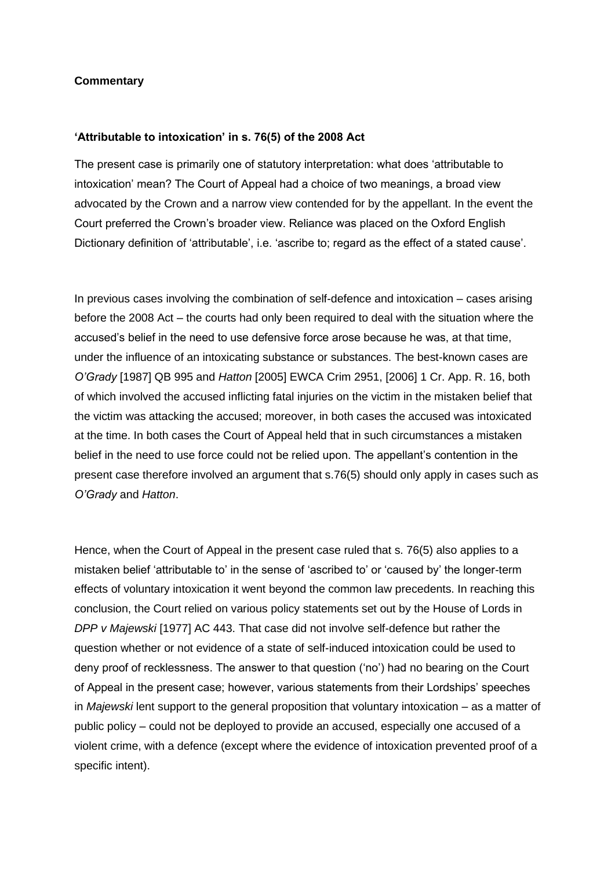#### **Commentary**

#### **'Attributable to intoxication' in s. 76(5) of the 2008 Act**

The present case is primarily one of statutory interpretation: what does 'attributable to intoxication' mean? The Court of Appeal had a choice of two meanings, a broad view advocated by the Crown and a narrow view contended for by the appellant. In the event the Court preferred the Crown's broader view. Reliance was placed on the Oxford English Dictionary definition of 'attributable', i.e. 'ascribe to; regard as the effect of a stated cause'.

In previous cases involving the combination of self-defence and intoxication – cases arising before the 2008 Act – the courts had only been required to deal with the situation where the accused's belief in the need to use defensive force arose because he was, at that time, under the influence of an intoxicating substance or substances. The best-known cases are *O'Grady* [1987] QB 995 and *Hatton* [2005] EWCA Crim 2951, [2006] 1 Cr. App. R. 16, both of which involved the accused inflicting fatal injuries on the victim in the mistaken belief that the victim was attacking the accused; moreover, in both cases the accused was intoxicated at the time. In both cases the Court of Appeal held that in such circumstances a mistaken belief in the need to use force could not be relied upon. The appellant's contention in the present case therefore involved an argument that s.76(5) should only apply in cases such as *O'Grady* and *Hatton*.

Hence, when the Court of Appeal in the present case ruled that s. 76(5) also applies to a mistaken belief 'attributable to' in the sense of 'ascribed to' or 'caused by' the longer-term effects of voluntary intoxication it went beyond the common law precedents. In reaching this conclusion, the Court relied on various policy statements set out by the House of Lords in *DPP v Majewski* [1977] AC 443. That case did not involve self-defence but rather the question whether or not evidence of a state of self-induced intoxication could be used to deny proof of recklessness. The answer to that question ('no') had no bearing on the Court of Appeal in the present case; however, various statements from their Lordships' speeches in *Majewski* lent support to the general proposition that voluntary intoxication – as a matter of public policy – could not be deployed to provide an accused, especially one accused of a violent crime, with a defence (except where the evidence of intoxication prevented proof of a specific intent).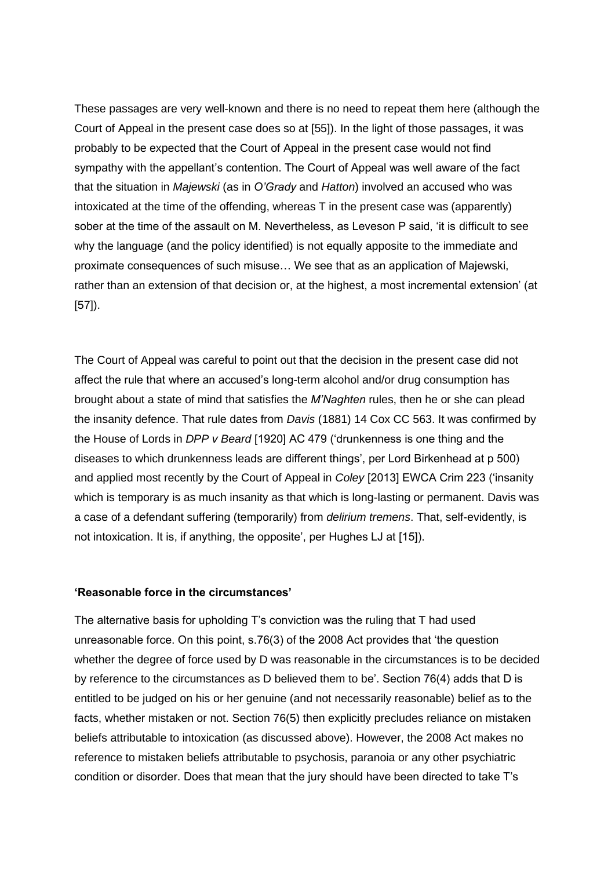These passages are very well-known and there is no need to repeat them here (although the Court of Appeal in the present case does so at [55]). In the light of those passages, it was probably to be expected that the Court of Appeal in the present case would not find sympathy with the appellant's contention. The Court of Appeal was well aware of the fact that the situation in *Majewski* (as in *O'Grady* and *Hatton*) involved an accused who was intoxicated at the time of the offending, whereas T in the present case was (apparently) sober at the time of the assault on M. Nevertheless, as Leveson P said, 'it is difficult to see why the language (and the policy identified) is not equally apposite to the immediate and proximate consequences of such misuse… We see that as an application of Majewski, rather than an extension of that decision or, at the highest, a most incremental extension' (at [57]).

The Court of Appeal was careful to point out that the decision in the present case did not affect the rule that where an accused's long-term alcohol and/or drug consumption has brought about a state of mind that satisfies the *M'Naghten* rules, then he or she can plead the insanity defence. That rule dates from *Davis* (1881) 14 Cox CC 563. It was confirmed by the House of Lords in *DPP v Beard* [1920] AC 479 ('drunkenness is one thing and the diseases to which drunkenness leads are different things', per Lord Birkenhead at p 500) and applied most recently by the Court of Appeal in *Coley* [2013] EWCA Crim 223 ('insanity which is temporary is as much insanity as that which is long-lasting or permanent. Davis was a case of a defendant suffering (temporarily) from *delirium tremens*. That, self-evidently, is not intoxication. It is, if anything, the opposite', per Hughes LJ at [15]).

#### **'Reasonable force in the circumstances'**

The alternative basis for upholding T's conviction was the ruling that T had used unreasonable force. On this point, s.76(3) of the 2008 Act provides that 'the question whether the degree of force used by D was reasonable in the circumstances is to be decided by reference to the circumstances as D believed them to be'. Section 76(4) adds that D is entitled to be judged on his or her genuine (and not necessarily reasonable) belief as to the facts, whether mistaken or not. Section 76(5) then explicitly precludes reliance on mistaken beliefs attributable to intoxication (as discussed above). However, the 2008 Act makes no reference to mistaken beliefs attributable to psychosis, paranoia or any other psychiatric condition or disorder. Does that mean that the jury should have been directed to take T's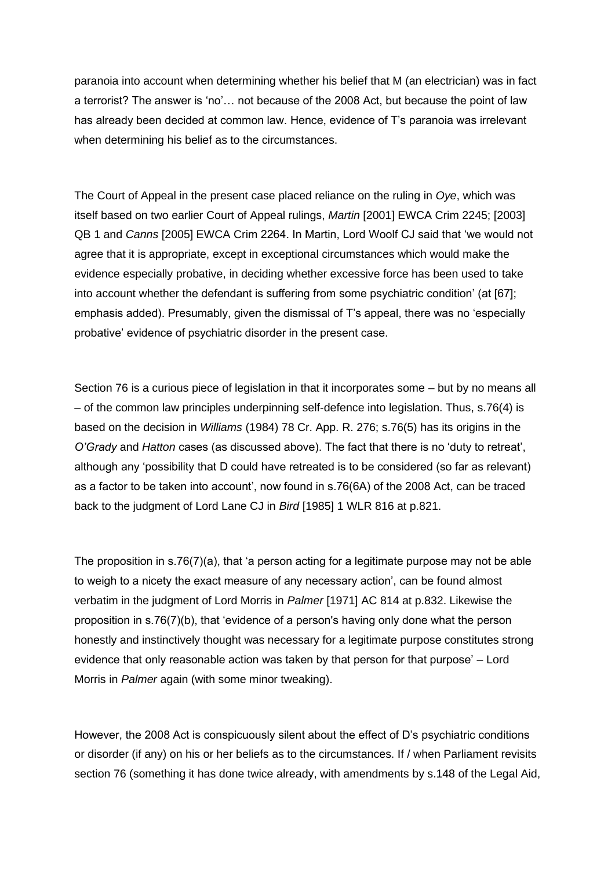paranoia into account when determining whether his belief that M (an electrician) was in fact a terrorist? The answer is 'no'… not because of the 2008 Act, but because the point of law has already been decided at common law. Hence, evidence of T's paranoia was irrelevant when determining his belief as to the circumstances.

The Court of Appeal in the present case placed reliance on the ruling in *Oye*, which was itself based on two earlier Court of Appeal rulings, *Martin* [2001] EWCA Crim 2245; [2003] QB 1 and *Canns* [2005] EWCA Crim 2264. In Martin, Lord Woolf CJ said that 'we would not agree that it is appropriate, except in exceptional circumstances which would make the evidence especially probative, in deciding whether excessive force has been used to take into account whether the defendant is suffering from some psychiatric condition' (at [67]; emphasis added). Presumably, given the dismissal of T's appeal, there was no 'especially probative' evidence of psychiatric disorder in the present case.

Section 76 is a curious piece of legislation in that it incorporates some – but by no means all – of the common law principles underpinning self-defence into legislation. Thus, s.76(4) is based on the decision in *Williams* (1984) 78 Cr. App. R. 276; s.76(5) has its origins in the *O'Grady* and *Hatton* cases (as discussed above). The fact that there is no 'duty to retreat', although any 'possibility that D could have retreated is to be considered (so far as relevant) as a factor to be taken into account', now found in s.76(6A) of the 2008 Act, can be traced back to the judgment of Lord Lane CJ in *Bird* [1985] 1 WLR 816 at p.821.

The proposition in s.76(7)(a), that 'a person acting for a legitimate purpose may not be able to weigh to a nicety the exact measure of any necessary action', can be found almost verbatim in the judgment of Lord Morris in *Palmer* [1971] AC 814 at p.832. Likewise the proposition in s.76(7)(b), that 'evidence of a person's having only done what the person honestly and instinctively thought was necessary for a legitimate purpose constitutes strong evidence that only reasonable action was taken by that person for that purpose' – Lord Morris in *Palmer* again (with some minor tweaking).

However, the 2008 Act is conspicuously silent about the effect of D's psychiatric conditions or disorder (if any) on his or her beliefs as to the circumstances. If / when Parliament revisits section 76 (something it has done twice already, with amendments by s.148 of the Legal Aid,